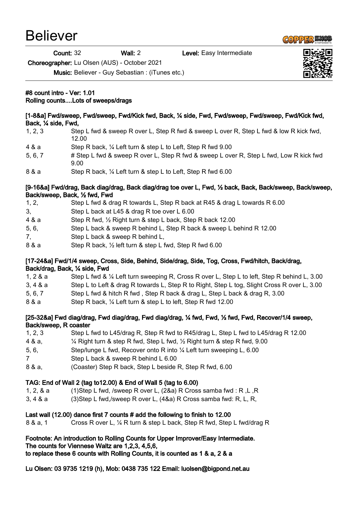## Believer

Back, ¼ side, Fwd,

Count: 32 Wall: 2 Level: Easy Intermediate

Choreographer: Lu Olsen (AUS) - October 2021

Music: Believer - Guy Sebastian : (iTunes etc.)

## #8 count intro - Ver: 1.01 Rolling counts....Lots of sweeps/drags

## 12.00 4 & a Step R back, ¼ Left turn & step L to Left, Step R fwd 9.00 5, 6, 7 # Step L fwd & sweep R over L, Step R fwd & sweep L over R, Step L fwd, Low R kick fwd 9.00 8 & a Step R back, 1/4 Left turn & step L to Left, Step R fwd 6.00 [9-16&a] Fwd/drag, Back diag/drag, Back diag/drag toe over L, Fwd, ½ back, Back, Back/sweep, Back/sweep, Back/sweep, Back, ½ fwd, Fwd 1, 2, Step L fwd & drag R towards L, Step R back at R45 & drag L towards R 6.00 3, Step L back at L45 & drag R toe over L 6.00 4 & a Step R fwd, ½ Right turn & step L back, Step R back 12.00 5, 6, Step L back & sweep R behind L, Step R back & sweep L behind R 12.00 7, Step L back & sweep R behind L, 8 & a Step R back, 1/2 left turn & step L fwd, Step R fwd 6.00 [17-24&a] Fwd/1/4 sweep, Cross, Side, Behind, Side/drag, Side, Tog, Cross, Fwd/hitch, Back/drag, Back/drag, Back, ¼ side, Fwd 1, 2 & a Step L fwd & ¼ Left turn sweeping R, Cross R over L, Step L to left, Step R behind L, 3.00 3, 4 & a Step L to Left & drag R towards L, Step R to Right, Step L tog, Slight Cross R over L, 3.00 5, 6, 7 Step L fwd & hitch R fwd , Step R back & drag L, Step L back & drag R, 3.00 8 & a Step R back, 1/4 Left turn & step L to left, Step R fwd 12.00 [25-32&a] Fwd diag/drag, Fwd diag/drag, Fwd diag/drag, ¼ fwd, Fwd, ½ fwd, Fwd, Recover/1/4 sweep, Back/sweep, R coaster 1, 2, 3 Step L fwd to L45/drag R, Step R fwd to R45/drag L, Step L fwd to L45/drag R 12.00 4 & a, ¼ Right turn & step R fwd, Step L fwd, ½ Right turn & step R fwd, 9.00 5, 6, Step/lunge L fwd, Recover onto R into ¼ Left turn sweeping L, 6.00 7 Step L back & sweep R behind L 6.00 8 & a, (Coaster) Step R back, Step L beside R, Step R fwd, 6.00 TAG: End of Wall 2 (tag to12.00) & End of Wall 5 (tag to 6.00) 1, 2, & a (1)Step L fwd, /sweep R over L, (2&a) R Cross samba fwd : R ,L ,R 3, 4 & a (3)Step L fwd,/sweep R over L, (4&a) R Cross samba fwd: R, L, R, Last wall (12.00) dance first 7 counts # add the following to finish to 12.00 8 & a, 1 Cross R over L, ¼ R turn & step L back, Step R fwd, Step L fwd/drag R

[1-8&a] Fwd/sweep, Fwd/sweep, Fwd/Kick fwd, Back, 1/4 side, Fwd, Fwd/sweep, Fwd/sweep, Fwd/Kick fwd,

1, 2, 3 Step L fwd & sweep R over L, Step R fwd & sweep L over R, Step L fwd & low R kick fwd,

## Footnote: An introduction to Rolling Counts for Upper Improver/Easy Intermediate.

The counts for Viennese Waltz are 1,2,3, 4,5,6,

to replace these 6 counts with Rolling Counts, it is counted as 1 & a, 2 & a

Lu Olsen: 03 9735 1219 (h), Mob: 0438 735 122 Email: luolsen@bigpond.net.au